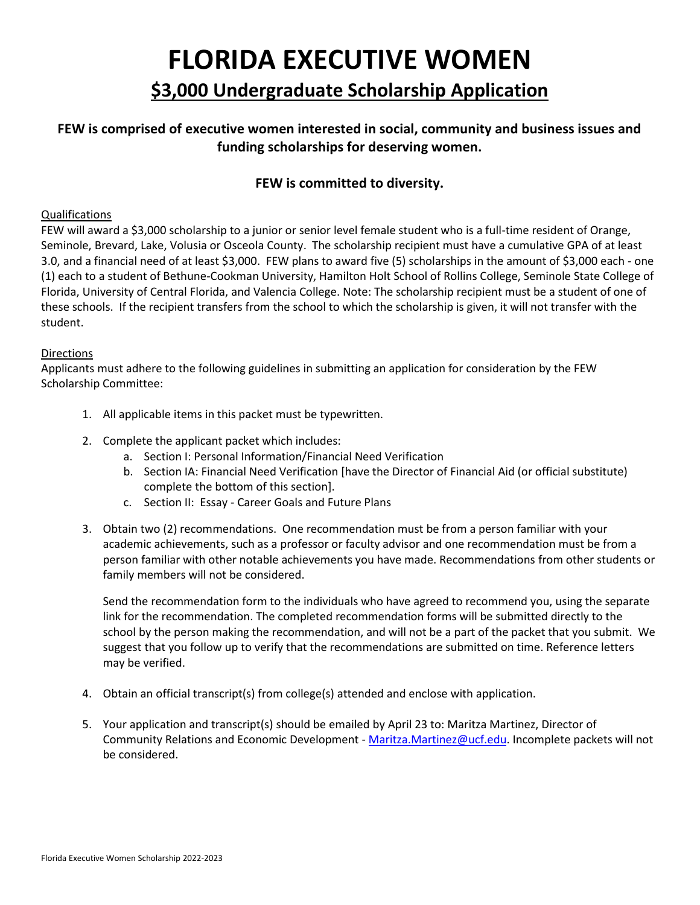# **FLORIDA EXECUTIVE WOMEN \$3,000 Undergraduate Scholarship Application**

### **FEW is comprised of executive women interested in social, community and business issues and funding scholarships for deserving women.**

#### **FEW is committed to diversity.**

#### Qualifications

FEW will award a \$3,000 scholarship to a junior or senior level female student who is a full-time resident of Orange, Seminole, Brevard, Lake, Volusia or Osceola County. The scholarship recipient must have a cumulative GPA of at least 3.0, and a financial need of at least \$3,000. FEW plans to award five (5) scholarships in the amount of \$3,000 each - one (1) each to a student of Bethune-Cookman University, Hamilton Holt School of Rollins College, Seminole State College of Florida, University of Central Florida, and Valencia College. Note: The scholarship recipient must be a student of one of these schools. If the recipient transfers from the school to which the scholarship is given, it will not transfer with the student.

#### **Directions**

Applicants must adhere to the following guidelines in submitting an application for consideration by the FEW Scholarship Committee:

- 1. All applicable items in this packet must be typewritten.
- 2. Complete the applicant packet which includes:
	- a. Section I: Personal Information/Financial Need Verification
	- b. Section IA: Financial Need Verification [have the Director of Financial Aid (or official substitute) complete the bottom of this section].
	- c. Section II: Essay Career Goals and Future Plans
- 3. Obtain two (2) recommendations. One recommendation must be from a person familiar with your academic achievements, such as a professor or faculty advisor and one recommendation must be from a person familiar with other notable achievements you have made. Recommendations from other students or family members will not be considered.

Send the recommendation form to the individuals who have agreed to recommend you, using the separate link for the recommendation. The completed recommendation forms will be submitted directly to the school by the person making the recommendation, and will not be a part of the packet that you submit. We suggest that you follow up to verify that the recommendations are submitted on time. Reference letters may be verified.

- 4. Obtain an official transcript(s) from college(s) attended and enclose with application.
- 5. Your application and transcript(s) should be emailed by April 23 to: Maritza Martinez, Director of Community Relations and Economic Development - [Maritza.Martinez@ucf.edu.](mailto:Maritza.Martinez@ucf.edu) Incomplete packets will not be considered.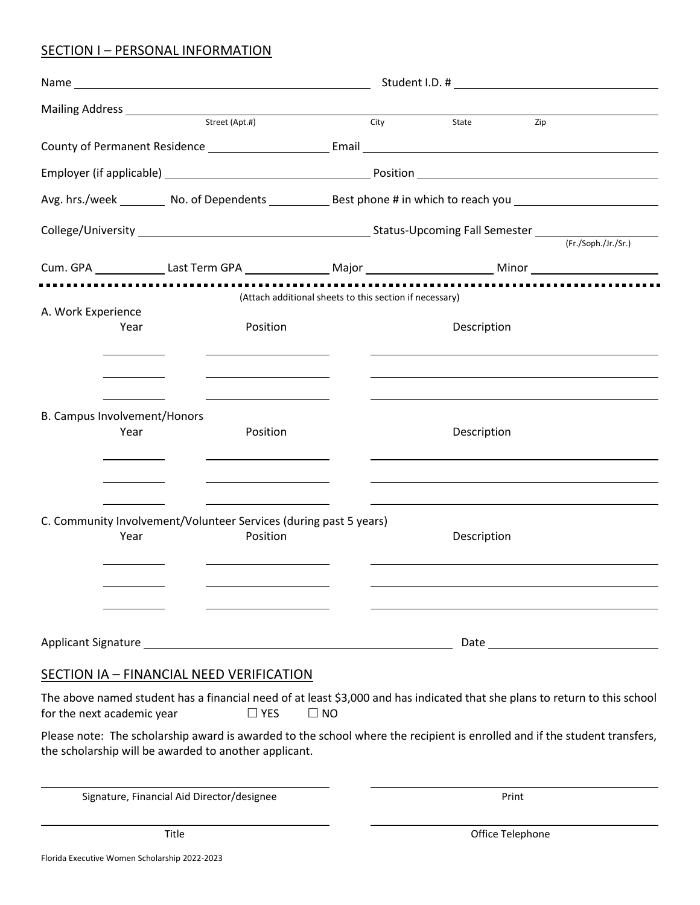## SECTION I - PERSONAL INFORMATION

|                                                                   |  | Street (Apt.#)                                                                                                       |           | -<br>City | State       | Zip                                                                                                                        |
|-------------------------------------------------------------------|--|----------------------------------------------------------------------------------------------------------------------|-----------|-----------|-------------|----------------------------------------------------------------------------------------------------------------------------|
|                                                                   |  |                                                                                                                      |           |           |             | County of Permanent Residence <b>Example 2018</b> Email                                                                    |
|                                                                   |  |                                                                                                                      |           |           |             |                                                                                                                            |
|                                                                   |  |                                                                                                                      |           |           |             | Avg. hrs./week __________ No. of Dependents ______________ Best phone # in which to reach you ________________             |
|                                                                   |  |                                                                                                                      |           |           |             | (Fr./Soph./Jr./Sr.)                                                                                                        |
|                                                                   |  |                                                                                                                      |           |           |             |                                                                                                                            |
|                                                                   |  | (Attach additional sheets to this section if necessary)                                                              |           |           |             |                                                                                                                            |
| A. Work Experience                                                |  |                                                                                                                      |           |           |             |                                                                                                                            |
| Year                                                              |  | Position                                                                                                             |           |           | Description |                                                                                                                            |
|                                                                   |  |                                                                                                                      |           |           |             |                                                                                                                            |
|                                                                   |  |                                                                                                                      |           |           |             |                                                                                                                            |
|                                                                   |  |                                                                                                                      |           |           |             |                                                                                                                            |
| B. Campus Involvement/Honors<br>Year                              |  | Position                                                                                                             |           |           | Description |                                                                                                                            |
|                                                                   |  |                                                                                                                      |           |           |             |                                                                                                                            |
|                                                                   |  |                                                                                                                      |           |           |             |                                                                                                                            |
|                                                                   |  |                                                                                                                      |           |           |             |                                                                                                                            |
| C. Community Involvement/Volunteer Services (during past 5 years) |  |                                                                                                                      |           |           |             |                                                                                                                            |
| Year                                                              |  | Position                                                                                                             |           |           | Description |                                                                                                                            |
|                                                                   |  |                                                                                                                      |           |           |             |                                                                                                                            |
|                                                                   |  |                                                                                                                      |           |           |             |                                                                                                                            |
|                                                                   |  | <u> Alexandria de la contrada de la contrada de la contrada de la contrada de la contrada de la contrada de la c</u> |           |           |             |                                                                                                                            |
|                                                                   |  |                                                                                                                      |           |           |             |                                                                                                                            |
|                                                                   |  | SECTION IA - FINANCIAL NEED VERIFICATION                                                                             |           |           |             |                                                                                                                            |
| for the next academic year                                        |  | $\Box$ YES                                                                                                           | $\Box$ NO |           |             | The above named student has a financial need of at least \$3,000 and has indicated that she plans to return to this school |
|                                                                   |  |                                                                                                                      |           |           |             | Please note: The scholarship award is awarded to the school where the recipient is enrolled and if the student transfers,  |
|                                                                   |  | the scholarship will be awarded to another applicant.                                                                |           |           |             |                                                                                                                            |

Signature, Financial Aid Director/designee **Print**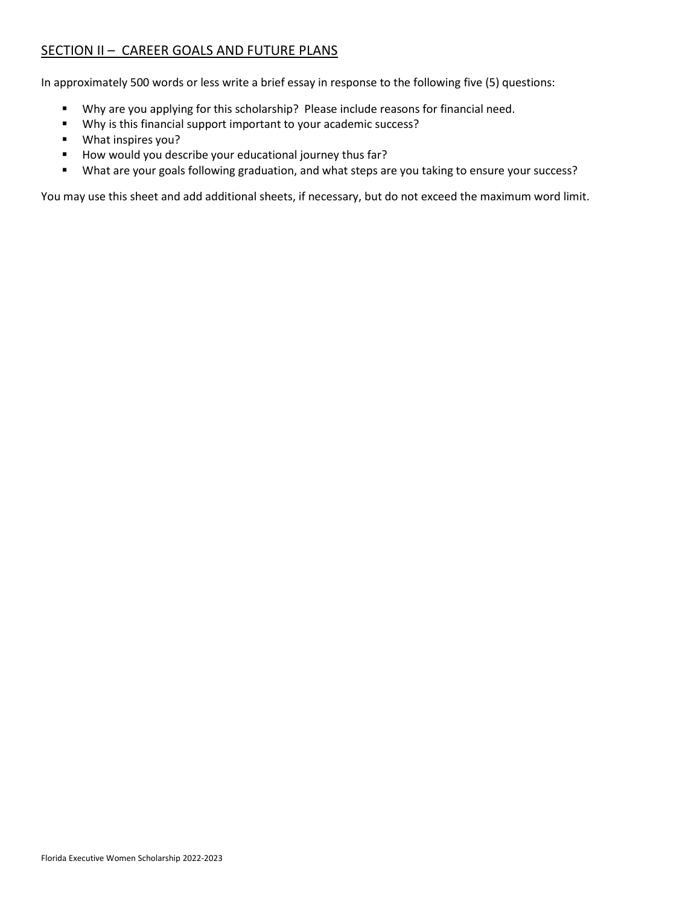### SECTION II - CAREER GOALS AND FUTURE PLANS

In approximately 500 words or less write a brief essay in response to the following five (5) questions:

- Why are you applying for this scholarship? Please include reasons for financial need.
- Why is this financial support important to your academic success?
- What inspires you?
- How would you describe your educational journey thus far?
- What are your goals following graduation, and what steps are you taking to ensure your success?

You may use this sheet and add additional sheets, if necessary, but do not exceed the maximum word limit.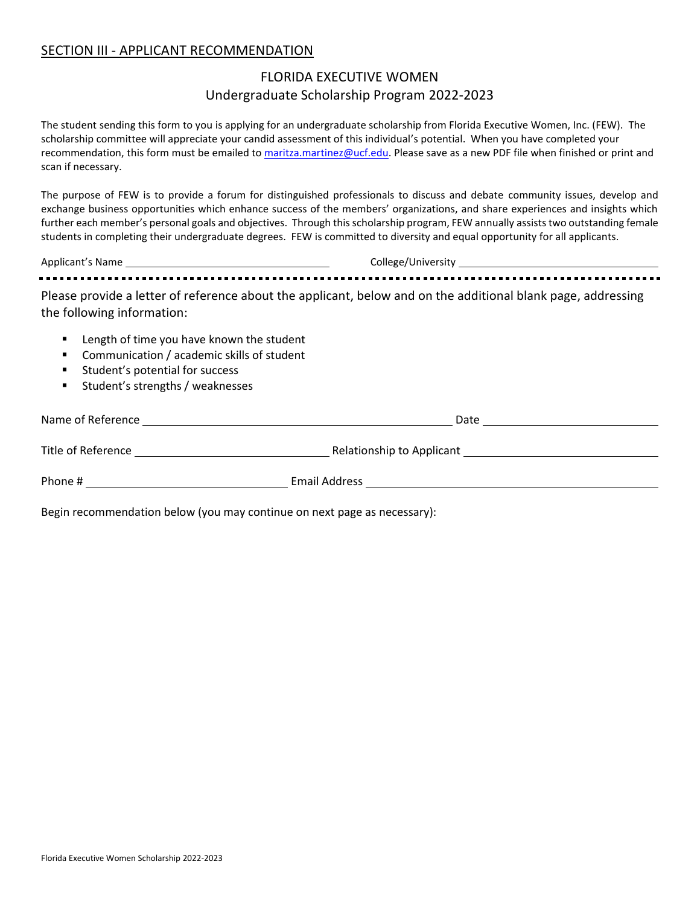#### SECTION III - APPLICANT RECOMMENDATION

## FLORIDA EXECUTIVE WOMEN Undergraduate Scholarship Program 2022-2023

The student sending this form to you is applying for an undergraduate scholarship from Florida Executive Women, Inc. (FEW). The scholarship committee will appreciate your candid assessment of this individual's potential. When you have completed your recommendation, this form must be emailed to [maritza.martinez@ucf.edu.](mailto:maritza.martinez@ucf.edu) Please save as a new PDF file when finished or print and scan if necessary.

The purpose of FEW is to provide a forum for distinguished professionals to discuss and debate community issues, develop and exchange business opportunities which enhance success of the members' organizations, and share experiences and insights which further each member's personal goals and objectives. Through this scholarship program, FEW annually assists two outstanding female students in completing their undergraduate degrees. FEW is committed to diversity and equal opportunity for all applicants.

Applicant's Name College/University

Please provide a letter of reference about the applicant, below and on the additional blank page, addressing the following information:

- Length of time you have known the student
- Communication / academic skills of student
- Student's potential for success
- Student's strengths / weaknesses

| Name of Reference  | Date                      |  |
|--------------------|---------------------------|--|
| Title of Reference | Relationship to Applicant |  |
| Phone #            | <b>Email Address</b>      |  |
|                    |                           |  |

Begin recommendation below (you may continue on next page as necessary):